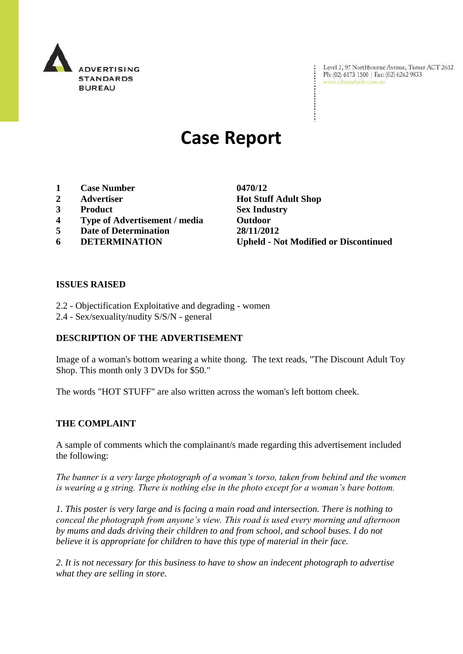

Level 2, 97 Northbourne Avenue, Turner ACT 2612 Ph: (02) 6173 1500 | Fax: (02) 6262 9833 www.adstandards.com.au

# **Case Report**

- **1 Case Number 0470/12**
- 
- **3 Product Sex Industry**
- **4 Type of Advertisement / media Outdoor**
- **5 Date of Determination 28/11/2012**
- 

**2 Advertiser Hot Stuff Adult Shop 6 DETERMINATION Upheld - Not Modified or Discontinued**

#### **ISSUES RAISED**

- 2.2 Objectification Exploitative and degrading women
- 2.4 Sex/sexuality/nudity S/S/N general

#### **DESCRIPTION OF THE ADVERTISEMENT**

Image of a woman's bottom wearing a white thong. The text reads, "The Discount Adult Toy Shop. This month only 3 DVDs for \$50."

The words "HOT STUFF" are also written across the woman's left bottom cheek.

#### **THE COMPLAINT**

A sample of comments which the complainant/s made regarding this advertisement included the following:

*The banner is a very large photograph of a woman's torso, taken from behind and the women is wearing a g string. There is nothing else in the photo except for a woman's bare bottom.* 

*1. This poster is very large and is facing a main road and intersection. There is nothing to conceal the photograph from anyone's view. This road is used every morning and afternoon by mums and dads driving their children to and from school, and school buses. I do not believe it is appropriate for children to have this type of material in their face.* 

*2. It is not necessary for this business to have to show an indecent photograph to advertise what they are selling in store.*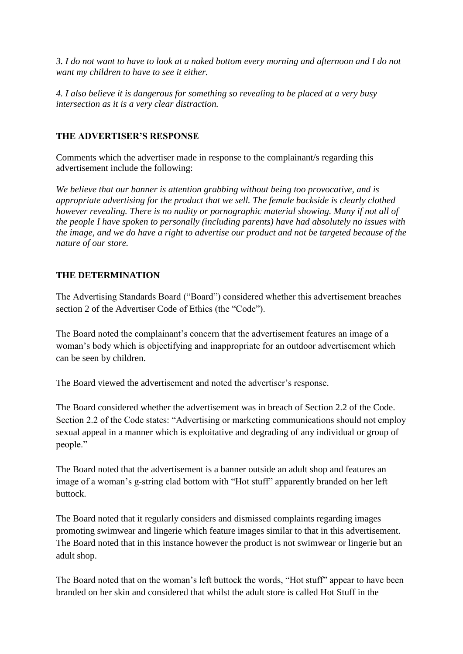*3. I do not want to have to look at a naked bottom every morning and afternoon and I do not want my children to have to see it either.* 

*4. I also believe it is dangerous for something so revealing to be placed at a very busy intersection as it is a very clear distraction.*

### **THE ADVERTISER'S RESPONSE**

Comments which the advertiser made in response to the complainant/s regarding this advertisement include the following:

*We believe that our banner is attention grabbing without being too provocative, and is appropriate advertising for the product that we sell. The female backside is clearly clothed however revealing. There is no nudity or pornographic material showing. Many if not all of the people I have spoken to personally (including parents) have had absolutely no issues with the image, and we do have a right to advertise our product and not be targeted because of the nature of our store.* 

## **THE DETERMINATION**

The Advertising Standards Board ("Board") considered whether this advertisement breaches section 2 of the Advertiser Code of Ethics (the "Code").

The Board noted the complainant's concern that the advertisement features an image of a woman's body which is objectifying and inappropriate for an outdoor advertisement which can be seen by children.

The Board viewed the advertisement and noted the advertiser's response.

The Board considered whether the advertisement was in breach of Section 2.2 of the Code. Section 2.2 of the Code states: "Advertising or marketing communications should not employ sexual appeal in a manner which is exploitative and degrading of any individual or group of people."

The Board noted that the advertisement is a banner outside an adult shop and features an image of a woman's g-string clad bottom with "Hot stuff" apparently branded on her left buttock.

The Board noted that it regularly considers and dismissed complaints regarding images promoting swimwear and lingerie which feature images similar to that in this advertisement. The Board noted that in this instance however the product is not swimwear or lingerie but an adult shop.

The Board noted that on the woman's left buttock the words, "Hot stuff" appear to have been branded on her skin and considered that whilst the adult store is called Hot Stuff in the